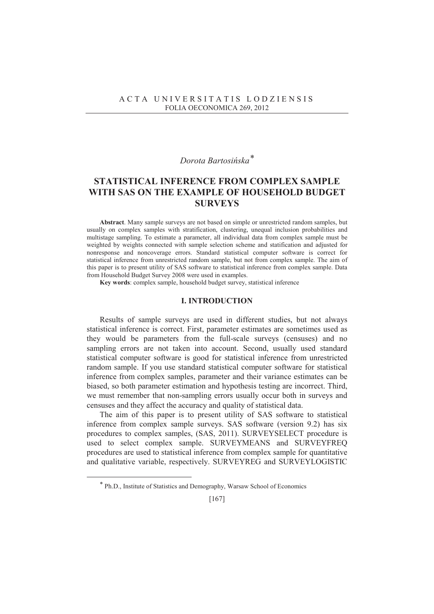## *Dorota Bartosińska*<sup>\*</sup>

# **STATISTICAL INFERENCE FROM COMPLEX SAMPLE WITH SAS ON THE EXAMPLE OF HOUSEHOLD BUDGET SURVEYS**

**Abstract**. Many sample surveys are not based on simple or unrestricted random samples, but usually on complex samples with stratification, clustering, unequal inclusion probabilities and multistage sampling. To estimate a parameter, all individual data from complex sample must be weighted by weights connected with sample selection scheme and statification and adjusted for nonresponse and noncoverage errors. Standard statistical computer software is correct for statistical inference from unrestricted random sample, but not from complex sample. The aim of this paper is to present utility of SAS software to statistical inference from complex sample. Data from Household Budget Survey 2008 were used in examples.

**Key words**: complex sample, household budget survey, statistical inference

### **I. INTRODUCTION**

Results of sample surveys are used in different studies, but not always statistical inference is correct. First, parameter estimates are sometimes used as they would be parameters from the full-scale surveys (censuses) and no sampling errors are not taken into account. Second, usually used standard statistical computer software is good for statistical inference from unrestricted random sample. If you use standard statistical computer software for statistical inference from complex samples, parameter and their variance estimates can be biased, so both parameter estimation and hypothesis testing are incorrect. Third, we must remember that non-sampling errors usually occur both in surveys and censuses and they affect the accuracy and quality of statistical data.

The aim of this paper is to present utility of SAS software to statistical inference from complex sample surveys. SAS software (version 9.2) has six procedures to complex samples, (SAS, 2011). SURVEYSELECT procedure is used to select complex sample. SURVEYMEANS and SURVEYFREQ procedures are used to statistical inference from complex sample for quantitative and qualitative variable, respectively. SURVEYREG and SURVEYLOGISTIC

 $\overline{a}$ 

<sup>\*</sup> Ph.D., Institute of Statistics and Demography, Warsaw School of Economics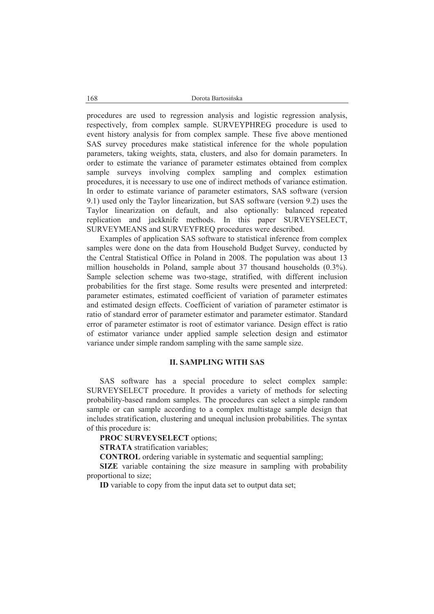procedures are used to regression analysis and logistic regression analysis, respectively, from complex sample. SURVEYPHREG procedure is used to event history analysis for from complex sample. These five above mentioned SAS survey procedures make statistical inference for the whole population parameters, taking weights, stata, clusters, and also for domain parameters. In order to estimate the variance of parameter estimates obtained from complex sample surveys involving complex sampling and complex estimation procedures, it is necessary to use one of indirect methods of variance estimation. In order to estimate variance of parameter estimators, SAS software (version 9.1) used only the Taylor linearization, but SAS software (version 9.2) uses the Taylor linearization on default, and also optionally: balanced repeated replication and jackknife methods. In this paper SURVEYSELECT, SURVEYMEANS and SURVEYFREQ procedures were described.

Examples of application SAS software to statistical inference from complex samples were done on the data from Household Budget Survey, conducted by the Central Statistical Office in Poland in 2008. The population was about 13 million households in Poland, sample about 37 thousand households (0.3%). Sample selection scheme was two-stage, stratified, with different inclusion probabilities for the first stage. Some results were presented and interpreted: parameter estimates, estimated coefficient of variation of parameter estimates and estimated design effects. Coefficient of variation of parameter estimator is ratio of standard error of parameter estimator and parameter estimator. Standard error of parameter estimator is root of estimator variance. Design effect is ratio of estimator variance under applied sample selection design and estimator variance under simple random sampling with the same sample size.

### **II. SAMPLING WITH SAS**

SAS software has a special procedure to select complex sample: SURVEYSELECT procedure. It provides a variety of methods for selecting probability-based random samples. The procedures can select a simple random sample or can sample according to a complex multistage sample design that includes stratification, clustering and unequal inclusion probabilities. The syntax of this procedure is:

**PROC SURVEYSELECT** options;

**STRATA** stratification variables;

**CONTROL** ordering variable in systematic and sequential sampling;

**SIZE** variable containing the size measure in sampling with probability proportional to size;

**ID** variable to copy from the input data set to output data set;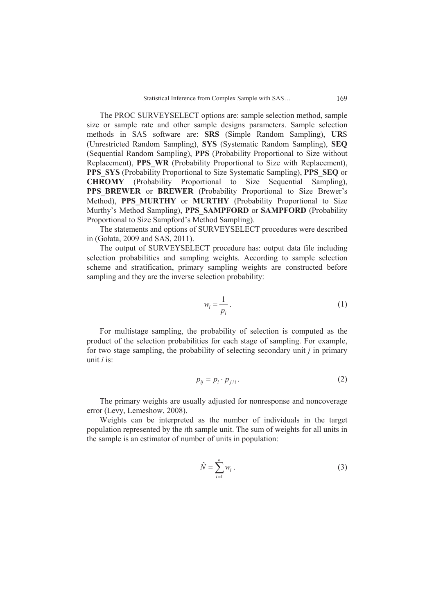The PROC SURVEYSELECT options are: sample selection method, sample size or sample rate and other sample designs parameters. Sample selection methods in SAS software are: **SRS** (Simple Random Sampling), **UR**S (Unrestricted Random Sampling), **SYS** (Systematic Random Sampling), **SEQ** (Sequential Random Sampling), **PPS** (Probability Proportional to Size without Replacement), PPS WR (Probability Proportional to Size with Replacement), **PPS\_SYS** (Probability Proportional to Size Systematic Sampling), **PPS\_SEQ** or **CHROMY** (Probability Proportional to Size Sequential Sampling), PPS BREWER or **BREWER** (Probability Proportional to Size Brewer's Method), **PPS\_MURTHY** or **MURTHY** (Probability Proportional to Size Murthy's Method Sampling), **PPS\_SAMPFORD** or **SAMPFORD** (Probability Proportional to Size Sampford's Method Sampling).

The statements and options of SURVEYSELECT procedures were described in (Goáata, 2009 and SAS, 2011).

The output of SURVEYSELECT procedure has: output data file including selection probabilities and sampling weights. According to sample selection scheme and stratification, primary sampling weights are constructed before sampling and they are the inverse selection probability:

$$
w_i = \frac{1}{p_i} \,. \tag{1}
$$

For multistage sampling, the probability of selection is computed as the product of the selection probabilities for each stage of sampling. For example, for two stage sampling, the probability of selecting secondary unit *j* in primary unit *i* is:

$$
p_{ij} = p_i \cdot p_{j/i} \,. \tag{2}
$$

The primary weights are usually adjusted for nonresponse and noncoverage error (Levy, Lemeshow, 2008).

Weights can be interpreted as the number of individuals in the target population represented by the *i*th sample unit. The sum of weights for all units in the sample is an estimator of number of units in population:

$$
\hat{N} = \sum_{i=1}^{n} w_i . \tag{3}
$$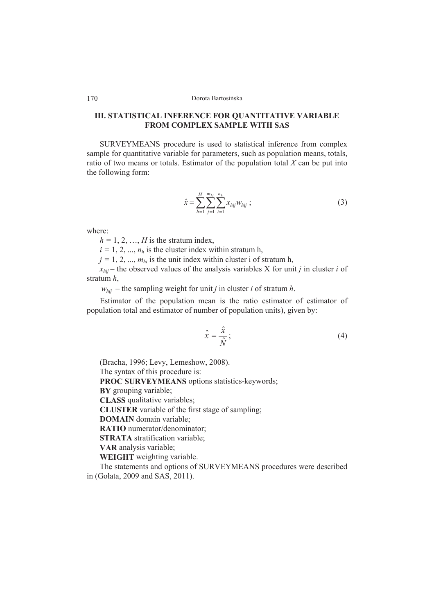## **III. STATISTICAL INFERENCE FOR QUANTITATIVE VARIABLE FROM COMPLEX SAMPLE WITH SAS**

SURVEYMEANS procedure is used to statistical inference from complex sample for quantitative variable for parameters, such as population means, totals, ratio of two means or totals. Estimator of the population total *X* can be put into the following form:

$$
\hat{x} = \sum_{h=1}^{H} \sum_{j=1}^{m_{hi}} \sum_{i=1}^{n_h} x_{hij} w_{hij} ;
$$
\n(3)

where:

 $h = 1, 2, \ldots, H$  is the stratum index,

 $i = 1, 2, ..., n_h$  is the cluster index within stratum h,

 $j = 1, 2, ..., m_h$  is the unit index within cluster i of stratum h,

 $x_{hii}$  – the observed values of the analysis variables X for unit *j* in cluster *i* of stratum *h*,

 $w_{hi}$  – the sampling weight for unit *j* in cluster *i* of stratum *h*.

Estimator of the population mean is the ratio estimator of estimator of population total and estimator of number of population units), given by:

$$
\hat{\overline{x}} = \frac{\hat{x}}{\hat{N}}; \tag{4}
$$

(Bracha, 1996; Levy, Lemeshow, 2008). The syntax of this procedure is:

**PROC SURVEYMEANS** options statistics-keywords;

**BY** grouping variable;

**CLASS** qualitative variables;

**CLUSTER** variable of the first stage of sampling;

**DOMAIN** domain variable;

**RATIO** numerator/denominator;

**STRATA** stratification variable;

**VAR** analysis variable;

**WEIGHT** weighting variable.

The statements and options of SURVEYMEANS procedures were described in (Goáata, 2009 and SAS, 2011).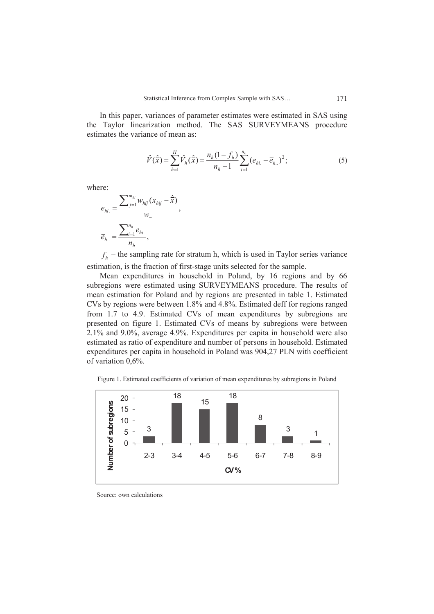In this paper, variances of parameter estimates were estimated in SAS using the Taylor linearization method. The SAS SURVEYMEANS procedure estimates the variance of mean as:

$$
\hat{V}(\hat{\bar{x}}) = \sum_{h=1}^{H} \hat{V}_h(\hat{\bar{x}}) = \frac{n_h(1 - f_h)}{n_h - 1} \sum_{i=1}^{n_k} (e_{hi.} - \overline{e}_{h.})^2; \tag{5}
$$

where:

$$
e_{hi.} = \frac{\sum_{j=1}^{m_{hi}} w_{hij} (x_{hij} - \hat{\overline{x}})}{w_{-}},
$$

$$
\overline{e}_{h..} = \frac{\sum_{i=1}^{n_h} e_{hi.}}{n_h},
$$

 $f_h$  – the sampling rate for stratum h, which is used in Taylor series variance estimation, is the fraction of first-stage units selected for the sample.

Mean expenditures in household in Poland, by 16 regions and by 66 subregions were estimated using SURVEYMEANS procedure. The results of mean estimation for Poland and by regions are presented in table 1. Estimated CVs by regions were between 1.8% and 4.8%. Estimated deff for regions ranged from 1.7 to 4.9. Estimated CVs of mean expenditures by subregions are presented on figure 1. Estimated CVs of means by subregions were between 2.1% and 9.0%, average 4.9%. Expenditures per capita in household were also estimated as ratio of expenditure and number of persons in household. Estimated expenditures per capita in household in Poland was 904,27 PLN with coefficient of variation 0,6%.

Figure 1. Estimated coefficients of variation of mean expenditures by subregions in Poland



Source: own calculations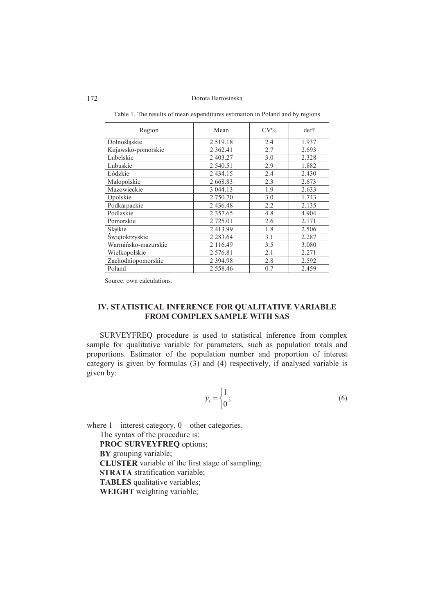172 Dorota Bartosińska

| Region              | Mean          | $CV\%$ | deff  |
|---------------------|---------------|--------|-------|
| Dolnośląskie        | 2 5 1 9 1 8   | 2.4    | 1.937 |
| Kujawsko-pomorskie  | 2 3 6 2 . 4 1 | 2.7    | 2.693 |
| Lubelskie           | 2 403.27      | 3.0    | 2.328 |
| Lubuskie            | 2 540.51      | 2.9    | 1.882 |
| Łódzkie             | 2 4 3 4 .15   | 2.4    | 2.430 |
| Małopolskie         | 2 668.83      | 2.3    | 2.673 |
| Mazowieckie         | 3 044.13      | 1.9    | 2.633 |
| Opolskie            | 2 750.70      | 3.0    | 1.743 |
| Podkarpackie        | 2436.48       | 2.2    | 2.135 |
| Podlaskie           | 2 3 5 7 .6 5  | 4.8    | 4.904 |
| Pomorskie           | 2 725.01      | 2.6    | 2.171 |
| Sląskie             | 2413.99       | 1.8    | 2.506 |
| Świętokrzyskie      | 2 2 8 3 . 6 4 | 3.1    | 2.287 |
| Warmińsko-mazurskie | 2 116.49      | 3.5    | 3.080 |
| Wielkopolskie       | 2 576.81      | 2.1    | 2.271 |
| Zachodniopomorskie  | 2 3 9 4 . 9 8 | 2.8    | 2.592 |
| Poland              | 2 5 5 8 . 4 6 | 0.7    | 2.459 |

Table 1. The results of mean expenditures estimation in Poland and by regions

Source: own calculations.

### **IV. STATISTICAL INFERENCE FOR QUALITATIVE VARIABLE FROM COMPLEX SAMPLE WITH SAS**

SURVEYFREQ procedure is used to statistical inference from complex sample for qualitative variable for parameters, such as population totals and proportions. Estimator of the population number and proportion of interest category is given by formulas  $(3)$  and  $(4)$  respectively, if analysed variable is given by:

$$
y_i = \begin{cases} 1 \\ 0 \end{cases};\tag{6}
$$

where  $1$  – interest category,  $0$  – other categories.

The syntax of the procedure is: **PROC SURVEYFREQ** options; **BY** grouping variable; **CLUSTER** variable of the first stage of sampling; **STRATA** stratification variable; **TABLES** qualitative variables; **WEIGHT** weighting variable;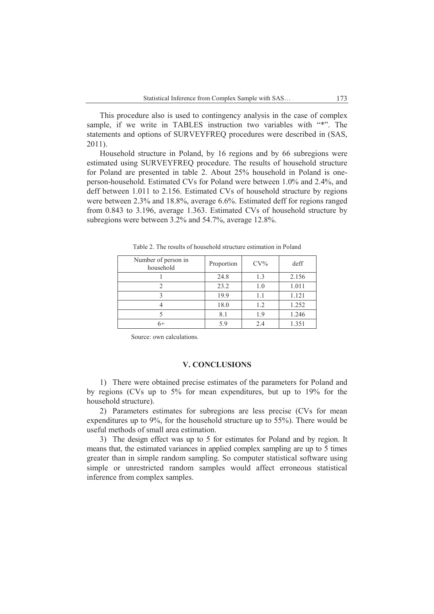This procedure also is used to contingency analysis in the case of complex sample, if we write in TABLES instruction two variables with "\*". The statements and options of SURVEYFREQ procedures were described in (SAS, 2011).

Household structure in Poland, by 16 regions and by 66 subregions were estimated using SURVEYFREQ procedure. The results of household structure for Poland are presented in table 2. About 25% household in Poland is oneperson-household. Estimated CVs for Poland were between 1.0% and 2.4%, and deff between 1.011 to 2.156. Estimated CVs of household structure by regions were between 2.3% and 18.8%, average 6.6%. Estimated deff for regions ranged from 0.843 to 3.196, average 1.363. Estimated CVs of household structure by subregions were between 3.2% and 54.7%, average 12.8%.

| Number of person in<br>household | Proportion | $CV\%$ | deff  |
|----------------------------------|------------|--------|-------|
|                                  | 24.8       | 13     | 2.156 |
|                                  | 23.2       | 1.0    | 1.011 |
|                                  | 19.9       | 1.1    | 1.121 |
|                                  | 18.0       | 1.2    | 1.252 |
|                                  | 8.1        | 19     | 1.246 |
| 6+                               | 5.9        | 2.4    | 1.351 |

Table 2. The results of household structure estimation in Poland

Source: own calculations.

### **V. CONCLUSIONS**

1) There were obtained precise estimates of the parameters for Poland and by regions (CVs up to 5% for mean expenditures, but up to 19% for the household structure).

2) Parameters estimates for subregions are less precise (CVs for mean expenditures up to 9%, for the household structure up to 55%). There would be useful methods of small area estimation.

3) The design effect was up to 5 for estimates for Poland and by region. It means that, the estimated variances in applied complex sampling are up to 5 times greater than in simple random sampling. So computer statistical software using simple or unrestricted random samples would affect erroneous statistical inference from complex samples.